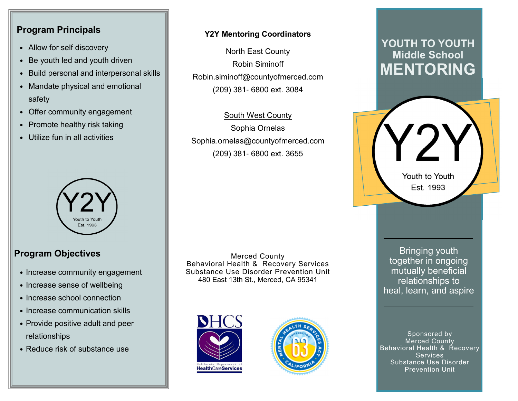#### **Program Principals**

- Allow for self discovery
- Be youth led and youth driven
- Build personal and interpersonal skills
- Mandate physical and emotional safety
- Offer community engagement
- Promote healthy risk taking
- Utilize fun in all activities



## **Program Objectives**

- Increase community engagement
- Increase sense of wellbeing
- Increase school connection
- Increase communication skills
- Provide positive adult and peer relationships
- Reduce risk of substance use

#### **Y2Y Mentoring Coordinators**

North East CountyRobin SiminoffRobin.siminoff@countyofmerced.com (209) 381- 6800 ext. 3084

South West CountySophia OrnelasSophia.ornelas@countyofmerced.com(209) 381- 6800 ext. 3655

Merced County Behavioral Health & Recovery Services Substance Use Disorder Prevention Unit480 East 13th St., Merced, CA 95341





# **YOUTH TO YOUTH Middle School MENTORING**

Youth to Youth Est. 1993

Bringing youth together in ongoing mutually beneficial relationships to heal, learn, and aspire

Sponsored by Merced County Behavioral Health & Recovery Services Substance Use Disorder Prevention Unit